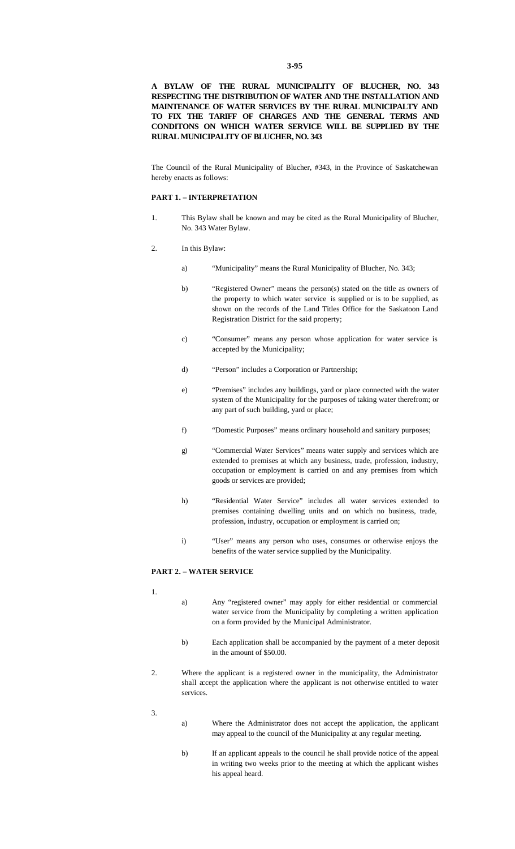## **A BYLAW OF THE RURAL MUNICIPALITY OF BLUCHER, NO. 343 RESPECTING THE DISTRIBUTION OF WATER AND THE INSTALLATION AND MAINTENANCE OF WATER SERVICES BY THE RURAL MUNICIPALTY AND TO FIX THE TARIFF OF CHARGES AND THE GENERAL TERMS AND CONDITONS ON WHICH WATER SERVICE WILL BE SUPPLIED BY THE RURAL MUNICIPALITY OF BLUCHER, NO. 343**

The Council of the Rural Municipality of Blucher, #343, in the Province of Saskatchewan hereby enacts as follows:

#### **PART 1. – INTERPRETATION**

1. This Bylaw shall be known and may be cited as the Rural Municipality of Blucher, No. 343 Water Bylaw.

#### 2. In this Bylaw:

- a) "Municipality" means the Rural Municipality of Blucher, No. 343;
- b) "Registered Owner" means the person(s) stated on the title as owners of the property to which water service is supplied or is to be supplied, as shown on the records of the Land Titles Office for the Saskatoon Land Registration District for the said property;
- c) "Consumer" means any person whose application for water service is accepted by the Municipality;
- d) "Person" includes a Corporation or Partnership;
- e) "Premises" includes any buildings, yard or place connected with the water system of the Municipality for the purposes of taking water therefrom; or any part of such building, yard or place;
- f) "Domestic Purposes" means ordinary household and sanitary purposes;
- g) "Commercial Water Services" means water supply and services which are extended to premises at which any business, trade, profession, industry, occupation or employment is carried on and any premises from which goods or services are provided;
- h) "Residential Water Service" includes all water services extended to premises containing dwelling units and on which no business, trade, profession, industry, occupation or employment is carried on;
- i) "User" means any person who uses, consumes or otherwise enjoys the benefits of the water service supplied by the Municipality.

### **PART 2. – WATER SERVICE**

- 1.
- a) Any "registered owner" may apply for either residential or commercial water service from the Municipality by completing a written application on a form provided by the Municipal Administrator.
- b) Each application shall be accompanied by the payment of a meter deposit in the amount of \$50.00.
- 2. Where the applicant is a registered owner in the municipality, the Administrator shall accept the application where the applicant is not otherwise entitled to water services.
- 3.
- a) Where the Administrator does not accept the application, the applicant may appeal to the council of the Municipality at any regular meeting.
- b) If an applicant appeals to the council he shall provide notice of the appeal in writing two weeks prior to the meeting at which the applicant wishes his appeal heard.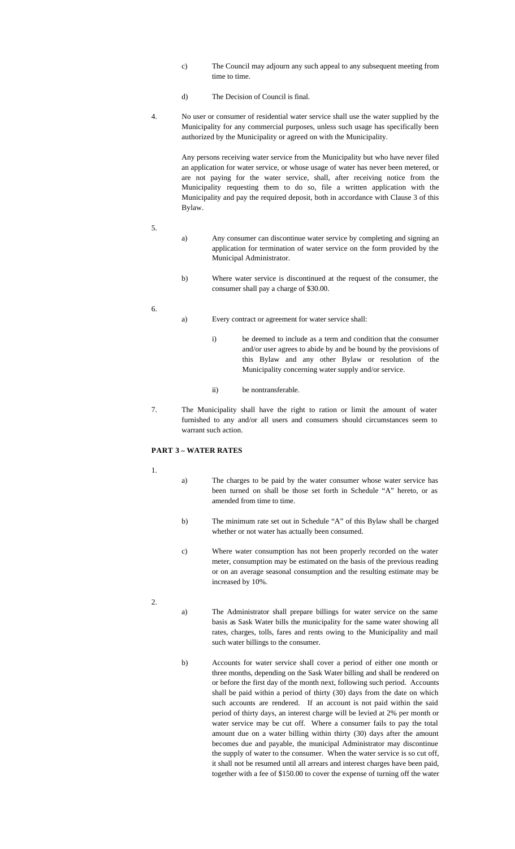- c) The Council may adjourn any such appeal to any subsequent meeting from time to time.
- d) The Decision of Council is final.
- 4. No user or consumer of residential water service shall use the water supplied by the Municipality for any commercial purposes, unless such usage has specifically been authorized by the Municipality or agreed on with the Municipality.

Any persons receiving water service from the Municipality but who have never filed an application for water service, or whose usage of water has never been metered, or are not paying for the water service, shall, after receiving notice from the Municipality requesting them to do so, file a written application with the Municipality and pay the required deposit, both in accordance with Clause 3 of this Bylaw.

- 5.
- a) Any consumer can discontinue water service by completing and signing an application for termination of water service on the form provided by the Municipal Administrator.
- b) Where water service is discontinued at the request of the consumer, the consumer shall pay a charge of \$30.00.
- 6.
- a) Every contract or agreement for water service shall:
	- i) be deemed to include as a term and condition that the consumer and/or user agrees to abide by and be bound by the provisions of this Bylaw and any other Bylaw or resolution of the Municipality concerning water supply and/or service.
	- ii) be nontransferable.
- 7. The Municipality shall have the right to ration or limit the amount of water furnished to any and/or all users and consumers should circumstances seem to warrant such action.

# **PART 3 – WATER RATES**

- 1.
- a) The charges to be paid by the water consumer whose water service has been turned on shall be those set forth in Schedule "A" hereto, or as amended from time to time.
- b) The minimum rate set out in Schedule "A" of this Bylaw shall be charged whether or not water has actually been consumed.
- c) Where water consumption has not been properly recorded on the water meter, consumption may be estimated on the basis of the previous reading or on an average seasonal consumption and the resulting estimate may be increased by 10%.
- 2.
- a) The Administrator shall prepare billings for water service on the same basis as Sask Water bills the municipality for the same water showing all rates, charges, tolls, fares and rents owing to the Municipality and mail such water billings to the consumer.
- b) Accounts for water service shall cover a period of either one month or three months, depending on the Sask Water billing and shall be rendered on or before the first day of the month next, following such period. Accounts shall be paid within a period of thirty (30) days from the date on which such accounts are rendered. If an account is not paid within the said period of thirty days, an interest charge will be levied at 2% per month or water service may be cut off. Where a consumer fails to pay the total amount due on a water billing within thirty (30) days after the amount becomes due and payable, the municipal Administrator may discontinue the supply of water to the consumer. When the water service is so cut off, it shall not be resumed until all arrears and interest charges have been paid, together with a fee of \$150.00 to cover the expense of turning off the water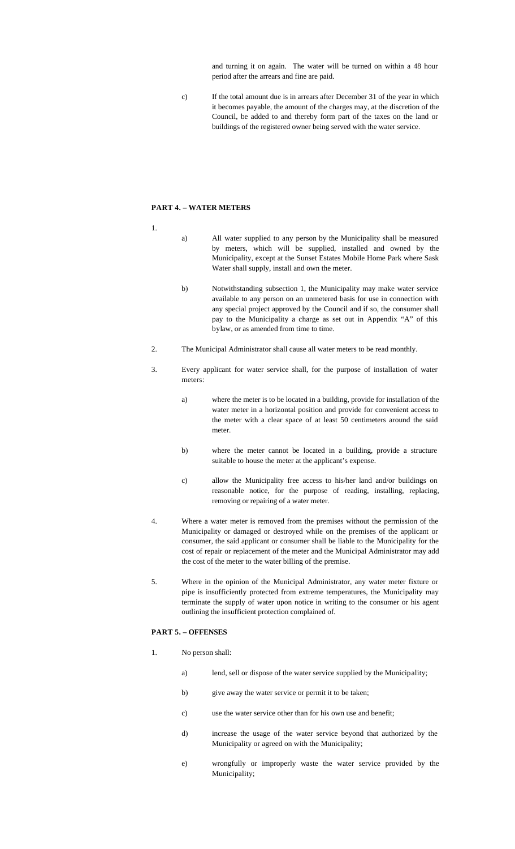and turning it on again. The water will be turned on within a 48 hour period after the arrears and fine are paid.

c) If the total amount due is in arrears after December 31 of the year in which it becomes payable, the amount of the charges may, at the discretion of the Council, be added to and thereby form part of the taxes on the land or buildings of the registered owner being served with the water service.

### **PART 4. – WATER METERS**

- 1.
- a) All water supplied to any person by the Municipality shall be measured by meters, which will be supplied, installed and owned by the Municipality, except at the Sunset Estates Mobile Home Park where Sask Water shall supply, install and own the meter.
- b) Notwithstanding subsection 1, the Municipality may make water service available to any person on an unmetered basis for use in connection with any special project approved by the Council and if so, the consumer shall pay to the Municipality a charge as set out in Appendix "A" of this bylaw, or as amended from time to time.
- 2. The Municipal Administrator shall cause all water meters to be read monthly.
- 3. Every applicant for water service shall, for the purpose of installation of water meters:
	- a) where the meter is to be located in a building, provide for installation of the water meter in a horizontal position and provide for convenient access to the meter with a clear space of at least 50 centimeters around the said meter.
	- b) where the meter cannot be located in a building, provide a structure suitable to house the meter at the applicant's expense.
	- c) allow the Municipality free access to his/her land and/or buildings on reasonable notice, for the purpose of reading, installing, replacing, removing or repairing of a water meter.
- 4. Where a water meter is removed from the premises without the permission of the Municipality or damaged or destroyed while on the premises of the applicant or consumer, the said applicant or consumer shall be liable to the Municipality for the cost of repair or replacement of the meter and the Municipal Administrator may add the cost of the meter to the water billing of the premise.
- 5. Where in the opinion of the Municipal Administrator, any water meter fixture or pipe is insufficiently protected from extreme temperatures, the Municipality may terminate the supply of water upon notice in writing to the consumer or his agent outlining the insufficient protection complained of.

### **PART 5. – OFFENSES**

- 1. No person shall:
	- a) lend, sell or dispose of the water service supplied by the Municipality;
	- b) give away the water service or permit it to be taken;
	- c) use the water service other than for his own use and benefit;
	- d) increase the usage of the water service beyond that authorized by the Municipality or agreed on with the Municipality;
	- e) wrongfully or improperly waste the water service provided by the Municipality;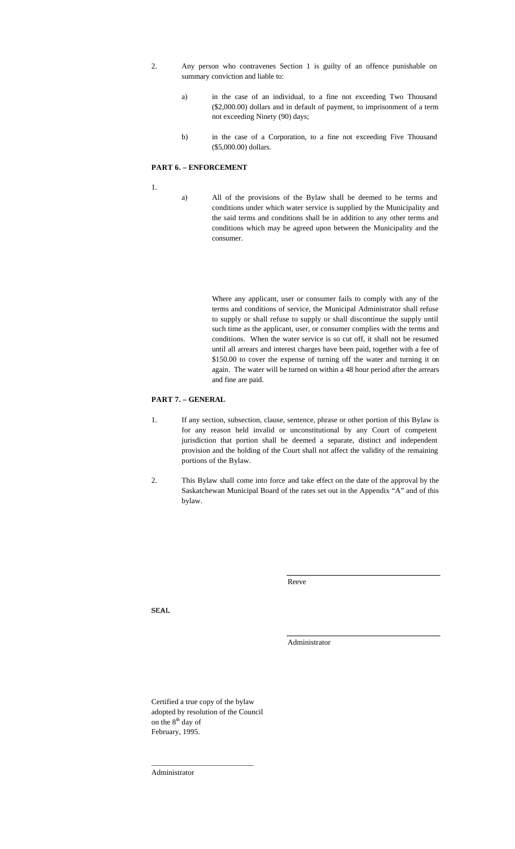- 2. Any person who contravenes Section 1 is guilty of an offence punishable on summary conviction and liable to:
	- a) in the case of an individual, to a fine not exceeding Two Thousand (\$2,000.00) dollars and in default of payment, to imprisonment of a term not exceeding Ninety (90) days;
	- b) in the case of a Corporation, to a fine not exceeding Five Thousand (\$5,000.00) dollars.

# **PART 6. – ENFORCEMENT**

1.

a) All of the provisions of the Bylaw shall be deemed to be terms and conditions under which water service is supplied by the Municipality and the said terms and conditions shall be in addition to any other terms and conditions which may be agreed upon between the Municipality and the consumer.

> Where any applicant, user or consumer fails to comply with any of the terms and conditions of service, the Municipal Administrator shall refuse to supply or shall refuse to supply or shall discontinue the supply until such time as the applicant, user, or consumer complies with the terms and conditions. When the water service is so cut off, it shall not be resumed until all arrears and interest charges have been paid, together with a fee of \$150.00 to cover the expense of turning off the water and turning it on again. The water will be turned on within a 48 hour period after the arrears and fine are paid.

### **PART 7. – GENERAL**

- 1. If any section, subsection, clause, sentence, phrase or other portion of this Bylaw is for any reason held invalid or unconstitutional by any Court of competent jurisdiction that portion shall be deemed a separate, distinct and independent provision and the holding of the Court shall not affect the validity of the remaining portions of the Bylaw.
- 2. This Bylaw shall come into force and take effect on the date of the approval by the Saskatchewan Municipal Board of the rates set out in the Appendix "A" and of this bylaw.

Reeve

SEAL

Administrator

Certified a true copy of the bylaw adopted by resolution of the Council on the 8<sup>th</sup> day of February, 1995.

\_\_\_\_\_\_\_\_\_\_\_\_\_\_\_\_\_\_\_\_\_\_\_\_\_\_\_

Administrator